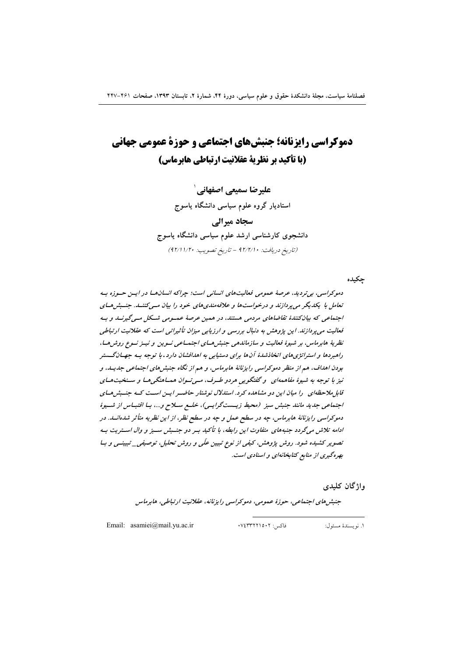# دموكراسي رايزنانه؛ جنبشهاي اجتماعي و حوزة عمومي جهاني (یا تأکید بر نظریة عقلانیت ارتیاطی هایرماس)

علیرضا سمیعی اصفهانی ` استادیار گروه علوم سیاسی دانشگاه پاسوج سجاد میرالی دانشجوی کارشناسی ارشد علوم سیاسی دانشگاه یاسوج (تاريخ دريافت: • ١٢/٢/١ - تاريخ تصويب: • ١/٢١/٢٠)

حكىدە

دموکراسي، بي ترديد، عرصهٔ عمومي فعاليتهاي انساني است؛ چراکه انسان هـا در ايـن حـوزه بـه تعامل با یکدیگر می پردازند و درخواست ها و علاقه مندی های خود را بیان مــیکننــد. جنــبش هــای اجتماعی که بیانکنندهٔ تقاضاهای مردمی هستند، در همین عرصهٔ عمسومی شکل مسی گیرنسد و ب فعالیت می پردازند. این پژوهش به دنبال بررسی و ارزیابی میزان تأثیراتی است که عقلانیت ارتباطی نظریهٔ هابرماس، بر شیوهٔ فعالیت و سازماندهی جنبش هسای اجتمساعی نسوین و نیسز نسوع روش هسا، راهبردها و استراتژی های اتخاذشدهٔ آن ها برای دستیابی به اهدافشان دارد . با توجه بـه جهـانگــستر بودن اهداف، هم از منظر دموکراسی رایزنانهٔ هابرماس، و هم از نگاه جنبشهای اجتماعی جدیسه، و نيز با توجه به شيوۀ مفاهمهاي پو گفتگويې هردو طبرف، مېږتبوان همپاهنگه هيا و سېنځيت هياي قابل ملاحظهای را میان این دو مشاهده کرد. استدلال نوشتار حاضیر ایس است که جنسش هسای اجتماعی جدید مانند جنبش سبز (محیط زیسستگرایسی)، خلیع سلاح و...، بیا اقتباس از شیوهٔ دموکراسی رایزنانهٔ هابرماس، چه در سطح عمل و چه در سطح نظر، از این نظریه متأثر شدهانــد. در ادامه تلاش میگردد جنبههای متفاوت این رابطه، با تأکید بـر دو جنــبش سـبز و وال اسـتریت بـه تصویر کشیده شود. روش پژوهش، کیفی از نوع تبیین علّی و روش تحلیل، توصیفی\_تبیینــی و بــا بهره گیری از منابع کتابخانهای و اسنادی است.

واژگان کلیدی

جنبش های اجتماعی، حوزهٔ عمومی، دموکراسی رایزنانه، عقلانیت ارتباطی، هابرماس

Email: asamiei@mail.yu.ac.ir

فاكس: ٧٤٣٣٢٢١٥٠٢.

١. نويسندهٔ مسئول: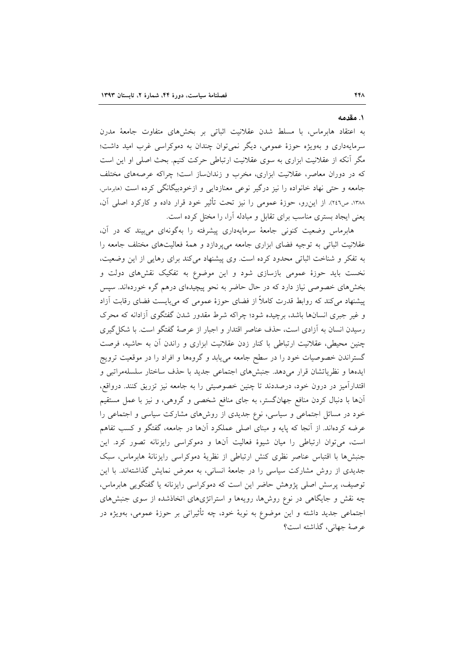۱. مقدمه

به اعتقاد هابرماس، با مسلط شدن عقلانیت اثباتی بر بخشهای متفاوت جامعهٔ مدرن سرمایهداری و بهویژه حوزهٔ عمومی، دیگر نمی توان چندان به دموکراسی غرب امید داشت؛ مگر آنکه از عقلانیت ابزاری به سوی عقلانیت ارتباطی حرکت کنیم. بحث اصلی او این است که در دوران معاصر، عقلانیت ابزاری، مخرب و زندانساز است؛ چراکه عرصههای مختلف جامعه و حتی نهاد خانواده را نیز درگیر نوعی معنازدایی و ازخودبیگانگی کرده است (هابرماس، ١٣٨٨، ص٤٢٦). از اين٫رو، حوزهٔ عمومي را نيز تحت تأثير خود قرار داده و كاركرد اصلي آن، یعنی ایجاد بستری مناسب برای تقابل و مبادله آرا، را مختل کرده است.

هابرماس وضعیت کنونی جامعهٔ سرمایهداری پیشرفته را بهگونهای می بیند که در آن، عقلانیت اثباتی به توجیه فضای ابزاری جامعه میپردازد و همهٔ فعالیتهای مختلف جامعه را به تفکر و شناخت اثباتی محدود کرده است. وی پیشنهاد میکند برای رهایی از این وضعیت، نخست باید حوزهٔ عمومی بازسازی شود و این موضوع به تفکیک نقشهای دولت و بخشهای خصوصی نیاز دارد که در حال حاضر به نحو پیچیدهای درهم گره خوردهاند. سیس پیشنهاد میکند که روابط قدرت کاملاً از فضای حوزهٔ عمومی که میبایست فضای رقابت آزاد و غیر جبری انسانها باشد، برچیده شود؛ چراکه شرط مقدور شدن گفتگوی آزادانه که محرک رسیدن انسان به آزادی است، حذف عناصر اقتدار و اجبار از عرصهٔ گفتگو است. با شکل گیری چنین محیطی، عقلانیت ارتباطی با کنار زدن عقلانیت ابزاری و راندن آن به حاشیه، فرصت گستراندن خصوصیات خود را در سطح جامعه میbیابد و گروهها و افراد را در موقعیت ترویج ايدهها و نظرياتشان قرار مىدهد. جنبشهاى اجتماعى جديد با حذف ساختار سلسلهمراتبي و اقتدارآمیز در درون خود، درصددند تا چنین خصوصیتی را به جامعه نیز تزریق کنند. درواقع، آنها با دنبال کردن منافع جهانگستر، به جای منافع شخصی و گروهی، و نیز با عمل مستقیم خود در مسائل اجتماعی و سیاسی، نوع جدیدی از روشهای مشارکت سیاسی و اجتماعی را عرضه کردهاند. از آنجا که پایه و مبنای اصلی عملکرد آنها در جامعه، گفتگو و کسب تفاهم است، می توان ارتباطی را میان شیوهٔ فعالیت آنها و دموکراسی رایزنانه تصور کرد. این جنبش ها با اقتباس عناصر نظری کنش ارتباطی از نظریهٔ دموکراسی رایزنانهٔ هابرماس، سبک جدیدی از روش مشارکت سیاسی را در جامعهٔ انسانی، به معرض نمایش گذاشتهاند. با این توصیف، پرسش اصلی پژوهش حاضر این است که دموکراسی رایزنانه یا گفتگویی هابرماس، چه نقش و جایگاهی در نوع روشها، رویهها و استراتژیهای اتخاذشده از سوی جنبشهای اجتماعی جدید داشته و این موضوع به نوبهٔ خود، چه تأثیراتی بر حوزهٔ عمومی، بهویژه در عرصهٔ جهانی، گذاشته است؟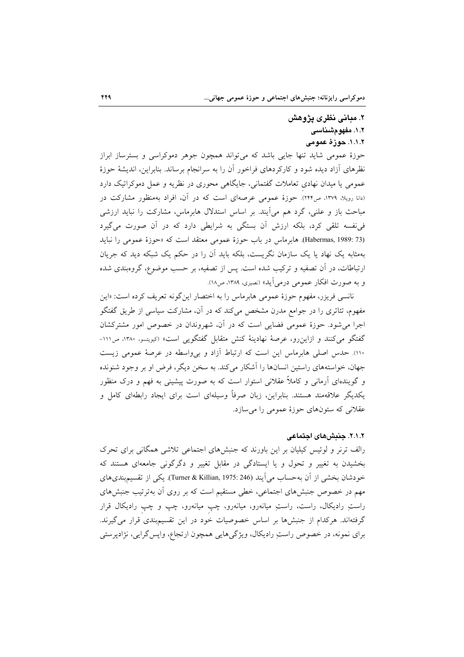## ۲. مبانی نظری پژوهش ۱.۲. مفهو مشناسی ١.١.٢. حوزهٔ عمومی

حوزهٔ عمومی شاید تنها جایی باشد که میتواند همچون جوهر دموکراسی و بسترساز ابراز نظرهای آزاد دیده شود و کارکردهای فراخور آن را به سرانجام برساند. بنابراین، اندیشهٔ حوزهٔ عمومي يا ميدان نهادي تعاملات گفتماني، جايگاهي محوري در نظريه و عمل دموكراتيک دارد (دانا رویلا، ۱۳۷۹، ص۲۴۴). حوزهٔ عمومی عرصهای است که در آن، افراد بهمنظور مشارکت در مباحث باز و علنی، گرد هم میآیند. بر اساس استدلال هابرماس، مشارکت را نباید ارزشی فی نفسه تلقی کرد، بلکه ارزش آن بستگی به شرایطی دارد که در آن صورت میگیرد (Habermas, 1989: 73). هابرماس در باب حوزهٔ عمومی معتقد است که «حوزهٔ عمومی را نباید بهمثابه یک نهاد یا یک سازمان نگریست، بلکه باید آن را در حکم یک شبکه دید که جریان ارتباطات، در آن تصفیه و ترکیب شده است. پس از تصفیه، بر حسب موضوع، گروهبندی شده و به صورت افكار عمومي درمي آيد» (نصيري، ١٣٨٩، ص١٨).

نانسی فریزر، مفهوم حوزهٔ عمومی هابرماس را به اختصار اینگونه تعریف کرده است: «این مفهوم، تئاتری را در جوامع مدرن مشخص میکند که در آن، مشارکت سیاسی از طریق گفتگو اجرا می شود. حوزهٔ عمومی فضایی است که در آن، شهروندان در خصوص امور مشترکشان گفتگو می کنند و ازاین رو، عرصهٔ نهادینهٔ کنش متقابل گفتگویی است» (کیویتسو، ۱۳۸۰، ص۱۱۱-١١٠). حدس اصلي هابرماس اين است كه ارتباط آزاد و بي واسطه در عرصهٔ عمومي زيست جهان، خواستههای راستین انسانها را آشکار می کند. به سخن دیگر، فرض او بر وجود شنونده و گویندهای آرمانی و کاملاً عقلانی استوار است که به صورت پیشینی به فهم و درک منظور یکدیگر علاقهمند هستند. بنابراین، زبان صرفاً وسیلهای است برای ایجاد رابطهای کامل و عقلانی که ستونهای حوزهٔ عمومی را میسازد.

## ٢.١.٢. جنبش های اجتماعی

رالف ترنر و لوئیس کیلیان بر این باورند که جنبشهای اجتماعی تلاشی همگانی برای تحرک بخشیدن به تغییر و تحول و یا ایستادگی در مقابل تغییر و دگرگونی جامعهای هستند که خودشان بخشي از آن به حساب مي آيند (Turner & Killian, 1975: 246). يكي از تقسيم بندي هاي مهم در خصوص جنبشهای اجتماعی، خطی مستقیم است که بر روی آن بهترتیب جنبشهای راستِ رادیکال، راست، راستِ میانەرو، میانەرو، چپ میانەرو، چپ و چپ رادیکال قرار گرفتهاند. هرکدام از جنبشها بر اساس خصوصیات خود در این تقسیمبندی قرار میگیرند. براي نمونه، در خصوص راستِ راديكال، ويژگيهايي همچون ارتجاع، واپس گرايي، نژادپرستي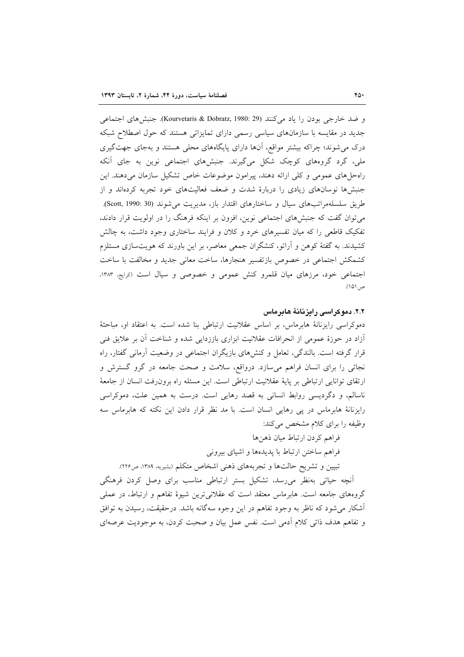و ضد خارجي بودن را ياد مي كنند (Kourvetaris & Dobratz, 1980: 29). جنبش هاي اجتماعي جدید در مقایسه با سازمانهای سیاسی رسمی دارای تمایزاتی هستند که حول اصطلاح شبکه درک می شوند؛ چراکه بیشتر مواقع، آنها دارای پایگاههای محلی هستند و بهجای جهت گیری ملی، گرد گروههای کوچک شکل میگیرند. جنبشهای اجتماعی نوین به جای آنکه راه حلهای عمومی و کلی ارائه دهند، پیرامون موضوعات خاص تشکیل سازمان میدهند. این جنبشها نوسانهای زیادی را دربارهٔ شدت و ضعف فعالیتهای خود تجربه کردهاند و از طریق سلسلهمراتبهای سیال و ساختارهای اقتدار باز، مدیریت می شوند (Scott, 1990: 30). می توان گفت که جنبشهای اجتماعی نوین، افزون بر اینکه فرهنگ را در اولویت قرار دادند، تفکیک قاطعی را که میان تفسیرهای خرد و کلان و فرایند ساختاری وجود داشت، به چالش کشیدند. به گفتهٔ کوهن و آراتو، کنشگران جمعی معاصر، بر این باورند که هویتسازی مستلزم كشمكش اجتماعي در خصوص بازتفسير هنجارها، ساخت معاني جديد و مخالفت با ساخت اجتماعی خود، مرزهای میان قلمرو کنش عمومی و خصوصی و سیال است (درایج، ۱۳۸۳، ص ١٥١).

## ٢.٢. دموکر اسی رایز نانهٔ هایرماس

دموکراسی رایزنانهٔ هابرماس، بر اساس عقلانیت ارتباطی بنا شده است. به اعتقاد او، مباحثهٔ آزاد در حوزهٔ عمومی از انحرافات عقلانیت ابزاری باززدایی شده و شناخت آن بر علایق فنی قرار گرفته است. بالندگی، تعامل و کنشهای بازیگران اجتماعی در وضعیت آرمانی گفتار، راه نجاتی را برای انسان فراهم میسازد. درواقع، سلامت و صحت جامعه در گرو گسترش و ارتقای توانایی ارتباطی بر پایهٔ عقلانیت ارتباطی است. این مسئله راه برون(فت انسان از جامعهٔ ناسالم، و دگردیسی روابط انسانی به قصد رهایی است. درست به همین علت، دموکراسی رایزنانهٔ هابرماس در پی رهایی انسان است. با مد نظر قرار دادن این نکته که هابرماس سه وظیفه را برای کلام مشخص می کند:

## فراهم كردن ارتباط ميان ذهنها

فراهم ساختن ارتباط با پدیدهها و اشیای بیرونی

تبیین و تشریح حالتها و تجربههای ذهنی اشخاص متکلم (بشیریه، ۱۳۸۹، ص۲۲۶).

أنچه حیاتی بهنظر می رسد، تشکیل بستر ارتباطی مناسب برای وصل کردن فرهنگی گروههای جامعه است. هابرماس معتقد است که عقلانیترین شیوهٔ تفاهم و ارتباط، در عملی آشکار می شود که ناظر به وجود تفاهم در این وجوه سهگانه باشد. درحقیقت، رسیدن به توافق و تفاهم هدف ذاتی کلام ادمی است. نفس عمل بیان و صحبت کردن، به موجودیت عرصهای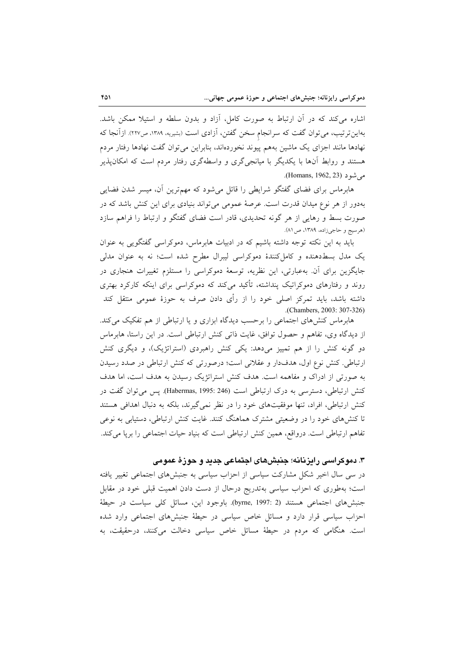اشاره می کند که در آن ارتباط به صورت کامل، آزاد و بدون سلطه و استیلا ممکن باشد. بهاین ترتیب، می توان گفت که سرانجام سخن گفتن، آزادی است (بشیریه، ۱۳۸۹، ص۲۲۷). ازآنجا که نهادها مانند اجزای یک ماشین بههم پیوند نخوردهاند، بنابراین می توان گفت نهادها رفتار مردم هستند و روابط آنها با یکدیگر با میانجی گری و واسطهگری رفتار مردم است که امکان پذیر مي شو د (Homans, 1962, 23).

هابرماس برای فضای گفتگو شرایطی را قائل میشود که مهمترین آن، میسر شدن فضایی بهدور از هر نوع میدان قدرت است. عرصهٔ عمومی می تواند بنیادی برای این کنش باشد که در صورت بسط و رهایی از هر گونه تحدیدی، قادر است فضای گفتگو و ارتباط را فراهم سازد (هرسيج و حاجيزاده، ١٣٨٩، ص ٨١).

باید به این نکته توجه داشته باشیم که در ادبیات هابرماس، دموکراسی گفتگویی به عنوان یک مدل بسط دهنده و کامل کنندهٔ دموکراسی لیبرال مطرح شده است؛ نه به عنوان مدلی جایگزین برای آن. بهعبارتی، این نظریه، توسعهٔ دموکراسی را مستلزم تغییرات هنجاری در روند و رفتارهای دموکراتیک پنداشته، تأکید میکند که دموکراسی برای اینکه کارکرد بهتری داشته باشد، باید تمرکز اصلی خود را از رأی دادن صرف به حوزهٔ عمومی منتقل کند .(Chambers, 2003: 307-326)

هابرماس کنشهای اجتماعی را برحسب دیدگاه ابزاری و یا ارتباطی از هم تفکیک می کند. از دیدگاه وی، تفاهم و حصول توافق، غایت ذاتی کنش ارتباطی است. در این راستا، هابر ماس دو گونه کنش را از هم تمییز میدهد: یکی کنش راهبردی (استراتژیک)، و دیگری کنش ارتباطی. کنش نوع اول، هدفدار و عقلانی است؛ درصورتی که کنش ارتباطی در صدد رسیدن به صورتی از ادراک و مفاهمه است. هدف کنش استراتژیک رسیدن به هدف است، اما هدف کنش ارتباطی، دسترسی به درک ارتباطی است (Habermas, 1995: 246). پس می توان گفت در کنش ارتباطی، افراد، تنها موفقیتهای خود را در نظر نمی گیرند، بلکه به دنبال اهدافی هستند تا کنشهای خود را در وضعیتی مشترک هماهنگ کنند. غایت کنش ارتباطی، دستیابی به نوعی تفاهم ارتباطی است. درواقع، همین کنش ارتباطی است که بنیاد حیات اجتماعی را برپا می کند.

۳. دموکراسی رایزنانه؛ جنبشهای اجتماعی جدید و حوزهٔ عمومی

در سی سال اخیر شکل مشارکت سیاسی از احزاب سیاسی به جنبشهای اجتماعی تغییر یافته است؛ بهطوری که احزاب سیاسی بهتدریج درحال از دست دادن اهمیت قبلی خود در مقابل جنبشهای اجتماعی هستند (2 :byrne, 1997). باوجود این، مسائل کلی سیاست در حیطهٔ احزاب سیاسی قرار دارد و مسائل خاص سیاسی در حیطهٔ جنبشهای اجتماعی وارد شده است. هنگامی که مردم در حیطهٔ مسائل خاص سیاسی دخالت میکنند، درحقیقت، به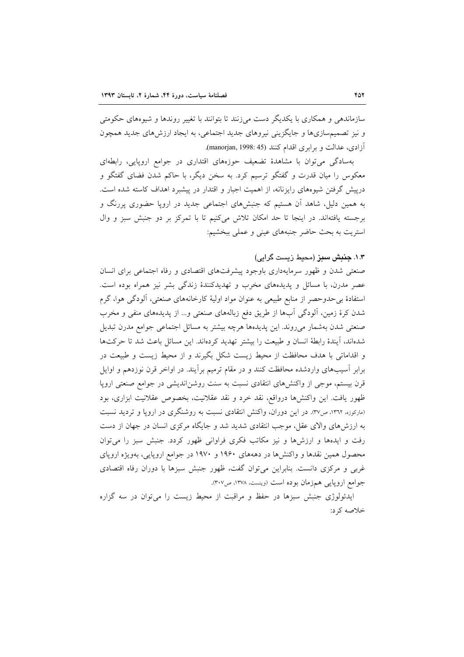سازماندهی و همکاری با یکدیگر دست میزنند تا بتوانند با تغییر روندها و شیوههای حکومتی و نیز تصمیمسازیها و جایگزینی نیروهای جدید اجتماعی، به ایجاد ارزش های جدید همچون آزادی، عدالت و برابری اقدام کنند (1998: manorjan, 1998).

بهسادگی می توان با مشاهدهٔ تضعیف حوزههای اقتداری در جوامع اروپایی، رابطهای معکوس را میان قدرت و گفتگو ترسیم کرد. به سخن دیگر، با حاکم شدن فضای گفتگو و درپیش گرفتن شیوههای رایزنانه، از اهمیت اجبار و اقتدار در پیشبرد اهداف کاسته شده است. به همین دلیل، شاهد آن هستیم که جنبشهای اجتماعی جدید در اروپا حضوری پررنگ و برجسته یافتهاند. در اینجا تا حد امکان تلاش میکنیم تا با تمرکز بر دو جنبش سبز و وال استریت به بحث حاضر جنبههای عینی و عملی ببخشیم:

## ۱.۳. ج**نب**ش سبز (محیط زیست گرایی)

صنعتی شدن و ظهور سرمایهداری باوجود پیشرفتهای اقتصادی و رفاه اجتماعی برای انسان عصر مدرن، با مسائل و پدیدههای مخرب و تهدیدکنندهٔ زندگی بشر نیز همراه بوده است. استفادهٔ بی حدوحصر از منابع طبیعی به عنوان مواد اولیهٔ کارخانههای صنعتی، آلودگی هوا، گرم شدن کرهٔ زمین، آلودگی آبها از طریق دفع زبالههای صنعتی و... از پدیدههای منفی و مخرب صنعتی شدن بهشمار میروند. این پدیدهها هرچه بیشتر به مسائل اجتماعی جوامع مدرن تبدیل شدهاند، آیندهٔ رابطهٔ انسان و طبیعت را بیشتر تهدید کردهاند. این مسائل باعث شد تا حرکتها و اقداماتی با هدف محافظت از محیط زیست شکل بگیرند و از محیط زیست و طبیعت در برابر آسیبهای واردشده محافظت کنند و در مقام ترمیم برآیند. در اواخر قرن نوزدهم و اوایل قرن بیستم، موجی از واکنشهای انتقادی نسبت به سنت روشناندیشی در جوامع صنعتی اروپا ظهور یافت. این واکنشها درواقع، نقد خرد و نقد عقلانیت، بخصوص عقلانیت ابزاری، بود (مارکوزه، ١٣٦٢، ص٣٧). در اين دوران، واکنش انتقادي نسبت به روشنگري در اروپا و ترديد نسبت به ارزشهای والای عقل، موجب انتقادی شدید شد و جایگاه مرکزی انسان در جهان از دست رفت و ایدهها و ارزشها و نیز مکاتب فکری فراوانی ظهور کردد. جنبش سبز را می توان محصول همین نقدها و واکنش ها در دهههای ۱۹۶۰ و ۱۹۷۰ در جوامع اروپایی، بهویژه اروپای غربی و مرکزی دانست. بنابراین میتوان گفت، ظهور جنبش سبزها با دوران رفاه اقتصادی جوامع ارويايي همزمان بوده است (وينست، ١٣٧٨، ص٣٠٧).

ایدئولوژی جنبش سبزها در حفظ و مراقبت از محیط زیست را می توان در سه گزاره خلاصه کرد: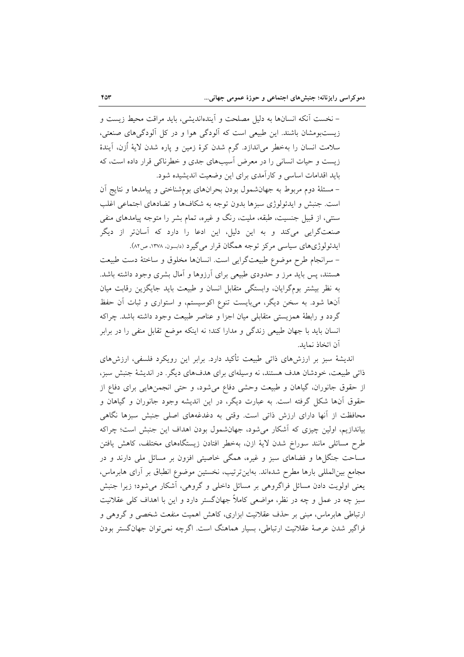– نخست آنکه انسانها به دلیل مصلحت و اَیندهاندیشی، باید مراقت محیط زیست و زیستبومشان باشند. این طبیعی است که آلودگی هوا و در کل آلودگی های صنعتی، سلامت انسان را بهخطر می|ندازد. گرم شدن کرهٔ زمین و پاره شدن لایهٔ اُزن، آیندهٔ زیست و حیات انسانی را در معرض آسیبهای جدی و خطرناکی قرار داده است، که باید اقدامات اساسی و کارآمدی برای این وضعیت اندیشیده شود.

– مسئلهٔ دوم مربوط به جهانشمول بودن بحرانهای بومشناختی و پیامدها و نتایج آن است. جنبش و ایدئولوژی سبزها بدون توجه به شکافها و تضادهای اجتماعی اغلب سنتی، از قبیل جنسیت، طبقه، ملیت، رنگ و غیره، تمام بشر را متوجه پیامدهای منفی صنعتگرایی میکند و به این دلیل، این ادعا را دارد که آسانتر از دیگر ايدئولوژيهاي سياسي مركز توجه همگان قرار مي گيرد (دابسون ١٣٧٨، ص٨٢).

- سرانجام طرح موضوع طبيعت گرايي است. انسانها مخلوق و ساختهٔ دست طبيعت هستند، پس باید مرز و حدودی طبیعی برای آرزوها و آمال بشری وجود داشته باشد. به نظر بیشتر بومگرایان، وابستگی متقابل انسان و طبیعت باید جایگزین رقابت میان آنها شود. به سخن دیگر، میبایست تنوع اکوسیستم، و استواری و ثبات آن حفظ گردد و رابطهٔ همزیستی متقابلی میان اجزا و عناصر طبیعت وجود داشته باشد. چراکه انسان باید با جهان طبیعی زندگی و مدارا کند؛ نه اینکه موضع تقابل منفی را در برابر آن اتخاذ نمايد.

اندیشهٔ سبز بر ارزشهای ذاتی طبیعت تأکید دارد. برابر این رویکرد فلسفی، ارزشهای ذاتی طبیعت، خودشان هدف هستند، نه وسیلهای برای هدفهای دیگر. در اندیشهٔ جنبش سبز، از حقوق جانوران، گیاهان و طبیعت وحشی دفاع میشود، و حتی انجمنهایی برای دفاع از حقوق آنها شکل گرفته است. به عبارت دیگر، در این اندیشه وجود جانوران و گیاهان و محافظت از آنها دارای ارزش ذاتی است. وقتی به دغدغههای اصلی جنبش سبزها نگاهی بیاندازیم، اولین چیزی که اَشکار میشود، جهانشمول بودن اهداف این جنبش است؛ چراکه طرح مسائلی مانند سوراخ شدن لایهٔ ازن، بهخطر افتادن زیستگاههای مختلف، کاهش یافتن مساحت جنگلها و فضاهای سبز و غیره، همگی خاصیتی افزون بر مسائل ملی دارند و در مجامع بين المللي بارها مطرح شدهاند. بهاين ترتيب، نخستين موضوع انطباق بر آراي هابرماس، یعنی اولویت دادن مسائل فراگروهی بر مسائل داخلی و گروهی، آشکار میشود؛ زیرا جنبش سبز چه در عمل و چه در نظر، مواضعی کاملاً جهانگستر دارد و این با اهداف کلی عقلانیت ارتباطی هابرماس، مبنی بر حذف عقلانیت ابزاری، کاهش اهمیت منفعت شخصی و گروهی و فراگیر شدن عرصهٔ عقلانیت ارتباطی، بسیار هماهنگ است. اگرچه نمی توان جهان گستر بودن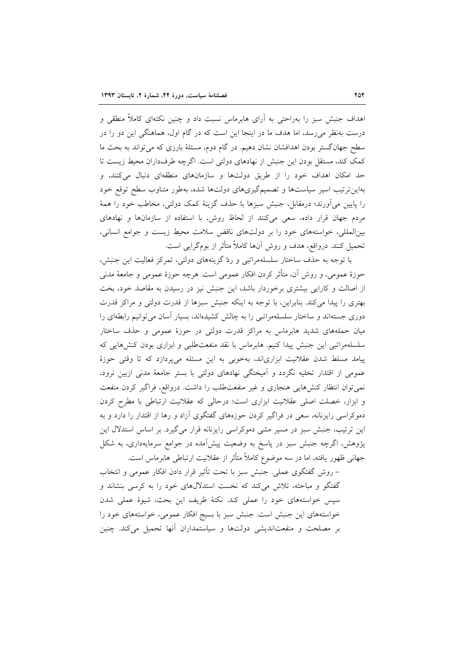اهداف جنبش سبز را بهراحتی به آرای هابرماس نسبت داد و چنین نکتهای کاملاً منطقی و درست بهنظر می رسد، اما هدف ما در اینجا این است که در گام اول، هماهنگی این دو را در سطح جهانگستر بودن اهدافشان نشان دهیم. در گام دوم، مسئلهٔ بارزی که می تواند به بحث ما كمك كند، مستقل بودن اين جنبش از نهادهاي دولتي است. اگرچه طرفداران محيط زيست تا حد امکان اهداف خود را از طریق دولتها و سازمانهای منطقهای دنبال میکنند، و بهاین ترتیب اسیر سیاستها و تصمیمگیریهای دولتها شده، بهطور متناوب سطح توقع خود را پایین میآورند؛ درمقابل، جنبش سبزها با حذف گزینهٔ کمک دولتی، مخاطب خود را همهٔ مردم جهان قرار داده، سعی میکنند از لحاظ روش، با استفاده از سازمانها و نهادهای بینالمللی، خواستههای خود را بر دولتهای ناقض سلامت محیط زیست و جوامع انسانی، تحميل كنند. درواقع، هدف و روش آنها كاملاً متأثر از بومگرايي است.

با توجه به حذف ساختار سلسلهمراتبی و ردّ گزینههای دولتی، تمرکز فعالیت این جنبش، حوزهٔ عمومی، و روش اّن، متأثَّر کردن افکار عمومی است. هرچه حوزهٔ عمومی و جامعهٔ مدنی از اصالت و کارایی بیشتری برخوردار باشد، این جنبش نیز در رسیدن به مقاصد خود، بخت بهتری را پیدا می کند. بنابراین، با توجه به اینکه جنبش سبزها از قدرت دولتی و مراکز قدرت دوری جستهاند و ساختار سلسلهمراتبی را به چالش کشیدهاند، بسیار آسان می توانیم رابطهای را میان حملههای شدید هابرماس به مراکز قدرت دولتی در حوزهٔ عمومی و حذف ساختار سلسلهمراتبی این جنبش پیدا کنیم. هابرماس با نقد منفعتطلبی و ابزاری بودن کنشهایی که پیامد مسلط شدن عقلانیت ابزاریاند، بهخوبی به این مسئله میپردازد که تا وقتی حوزهٔ عمومی از اقتدار تخلیه نگردد و آمیختگی نهادهای دولتی با بستر جامعهٔ مدنی ازبین نرود، نمی توان انتظار کنشهایی هنجاری و غیر منفعت طلب را داشت. درواقع، فراگیر کردن منفعت و ابزار، خصلت اصلی عقلانیت ابزاری است؛ درحالی که عقلانیت ارتباطی با مطرح کردن دموکراسی رایزنانه، سعی در فراگیر کردن حوزههای گفتگوی آزاد و رها از اقتدار را دارد و به این ترتیب، جنبش سبز در مسیر مشی دموکراسی رایزنانه قرار میگیرد. بر اساس استدلال این پژوهش، اگرچه جنبش سبز در پاسخ به وضعیت پیشآمده در جوامع سرمایهداری، به شکل جهانی ظهور یافته، اما در سه موضوع کاملاً متأثر از عقلانیت ارتباطی هابرماس است.

– روش گفتگوی عملی. جنبش سبز با تحت تأثیر قرار دادن افکار عمومی و انتخاب گفتگو و مباحثه، تلاش میکند که نخست استدلالهای خود را به کرسی بنشاند و سیس خواستههای خود را عملی کند. نکتهٔ ظریف این بحث، شیوهٔ عملی شدن خواستههای این جنبش است. جنبش سبز با بسیج افکار عمومی، خواستههای خود را بر مصلحت و منفعتاندیشی دولتها و سیاستمداران أنها تحمیل میکند. چنین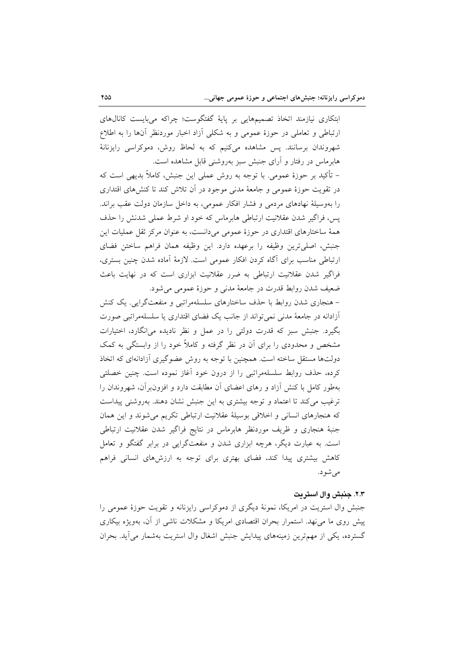ابتکاری نیازمند اتخاذ تصمیمهایی بر پایهٔ گفتگوست؛ چراکه میبایست کانالهای ارتباطی و تعاملی در حوزهٔ عمومی و به شکلی آزاد اخبار موردنظر آنها را به اطلاع شهروندان برسانند. پس مشاهده میکنیم که به لحاظ روش، دموکراسی رایزنانهٔ هابرماس در رفتار و آرای جنبش سبز بهروشنی قابل مشاهده است.

– تأکید بر حوزهٔ عمومی. با توجه به روش عملی این جنبش، کاملاً بدیهی است که در تقویت حوزهٔ عمومی و جامعهٔ مدنی موجود در آن تلاش کند تا کنش۵مای اقتداری را بهوسیلهٔ نهادهای مردمی و فشار افکار عمومی، به داخل سازمان دولت عقب براند. يس، فراگير شدن عقلانيت ارتباطي هابرماس كه خود او شرط عملي شدنش را حذف همهٔ ساختارهای اقتداری در حوزهٔ عمومی میدانست، به عنوان مرکز ثقل عملیات این جنبش، اصلي ترين وظيفه را برعهده دارد. اين وظيفه همان فراهم ساختن فضاي ارتباطی مناسب برای آگاه کردن افکار عمومی است. لازمهٔ آماده شدن چنین بستری، فراگیر شدن عقلانیت ارتباطی به ضرر عقلانیت ابزاری است که در نهایت باعث ضعیف شدن روابط قدرت در جامعهٔ مدنی و حوزهٔ عمومی میشود.

- هنجاری شدن روابط با حذف ساختارهای سلسلهمراتبی و منفعتگرایی. یک کنش أزادانه در جامعهٔ مدنی نمی تواند از جانب یک فضای اقتداری یا سلسلهمراتبی صورت بگیرد. جنبش سبز که قدرت دولتی را در عمل و نظر نادیده میانگارد، اختیارات مشخص و محدودی را برای آن در نظر گرفته و کاملاً خود را از وابستگی به کمک دولتها مستقل ساخته است. همچنین با توجه به روش عضوگیری آزادانهای که اتخاذ کرده، حذف روابط سلسلهمراتبی را از درون خود آغاز نموده است. چنین خصلتی بهطور كامل با كنش آزاد و رهاى اعضاى آن مطابقت دارد و افزونبرآن، شهروندان را ترغیب می کند تا اعتماد و توجه بیشتری به این جنبش نشان دهند. بهروشنی پیداست که هنجارهای انسانی و اخلاقی بوسیلهٔ عقلانیت ارتباطی تکریم میشوند و این همان جنبهٔ هنجاری و ظریف موردنظر هابرماس در نتایج فراگیر شدن عقلانیت ارتباطی است. به عبارت دیگر، هرچه ابزاری شدن و منفعتگرایی در برابر گفتگو و تعامل کاهش بیشتری پیدا کند، فضای بهتری برای توجه به ارزش های انسانی فراهم مې شو د.

#### ٢.٣. جنبش وال استريت

جنبش وال استریت در امریکا، نمونهٔ دیگری از دموکراسی رایزنانه و تقویت حوزهٔ عمومی را پیش روی ما می نهد. استمرار بحران اقتصادی امریکا و مشکلات ناشی از آن، بهویژه بیکاری گسترده، یکی از مهمترین زمینههای پیدایش جنبش اشغال وال استریت بهشمار می آید. بحران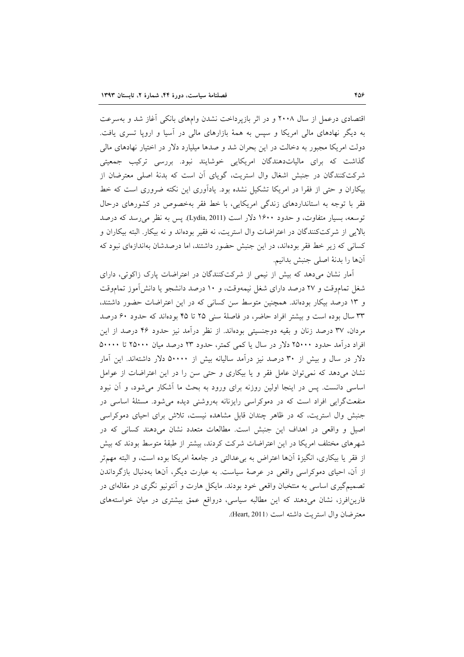اقتصادی درعمل از سال ۲۰۰۸ و در اثر بازپرداخت نشدن وامهای بانکی آغاز شد و بهسرعت به دیگر نهادهای مالی امریکا و سپس به همهٔ بازارهای مالی در آسیا و اروپا تسری یافت. دولت امریکا مجبور به دخالت در این بحران شد و صدها میلیارد دلار در اختیار نهادهای مالی گذاشت که برای مالیاتدهندگان امریکایی خوشایند نبود. بررسی ترکیب جمعیتی شرکتکنندگان در جنبش اشغال وال استریت، گویای آن است که بدنهٔ اصلی معترضان از بیکاران و حتی از فقرا در امریکا تشکیل نشده بود. یادآوری این نکته ضروری است که خط فقر با توجه به استانداردهای زندگی امریکایی، با خط فقر بهخصوص در کشورهای درحال توسعه، بسیار متفاوت، و حدود ۱۶۰۰ دلار است (Lydia, 2011). پس به نظر می رسد که درصد بالايي از شركتكنندگان در اعتراضات وال استريت، نه فقير بودهاند و نه بيكار. البته بيكاران و کسانی که زیر خط فقر بودهاند، در این جنبش حضور داشتند، اما درصدشان بهاندازهای نبود که آنها را بدنهٔ اصلی جنبش بدانیم.

آمار نشان میدهد که بیش از نیمی از شرکتکنندگان در اعتراضات پارک زاکوتی، دارای شغل تماموقت و ۲۷ درصد دارای شغل نیمهوقت، و ۱۰ درصد دانشجو یا دانشآموز تماموقت و ١٣ درصد بيكار بودهاند. همچنين متوسط سن كساني كه در اين اعتراضات حضور داشتند، ۳۳ سال بوده است و بیشتر افراد حاضر، در فاصلهٔ سنی ۲۵ تا ۴۵ بودهاند که حدود ۶۰ درصد مرِدان، ٣٧ درصد زنان و بقيه دوجنسيتي بودهاند. از نظر درآمد نيز حدود ۴۶ درصد از اين افراد درآمد حدود ۲۵۰۰۰ دلار در سال یا کمی کمتر، حدود ۲۳ درصد میان ۲۵۰۰۰ تا ۵۰۰۰۰ دلار در سال و بیش از ۳۰ درصد نیز درآمد سالیانه بیش از ۵۰۰۰۰ دلار داشتهاند. این آمار نشان میدهد که نمی توان عامل فقر و یا بیکاری و حتی سن را در این اعتراضات از عوامل اساسی دانست. پس در اینجا اولین روزنه برای ورود به بحث ما أشکار میشود، و أن نبود منفعتگرایی افراد است که در دموکراسی رایزنانه بهروشنی دیده می شود. مسئلهٔ اساسی در جنبش وال استریت، که در ظاهر چندان قابل مشاهده نیست، تلاش برای احیای دموکراسی اصیل و واقعی در اهداف این جنبش است. مطالعات متعدد نشان میدهند کسانی که در شهرهای مختلف امریکا در این اعتراضات شرکت کردند، بیشتر از طبقهٔ متوسط بودند که بیش از فقر يا بيكاري، انگيزهٔ آنها اعتراض به بي عدالتي در جامعهٔ امريكا بوده است، و البته مهمتر از آن، احیای دموکراسی واقعی در عرصهٔ سیاست. به عبارت دیگر، آنها بهدنبال بازگرداندن تصمیمگیری اساسی به منتخبان واقعی خود بودند. مایکل هارت و آنتونیو نگری در مقالهای در فارین افرز، نشان میدهند که این مطالبه سیاسی، درواقع عمق بیشتری در میان خواستههای معترضان وال استريت داشته است (Heart, 2011).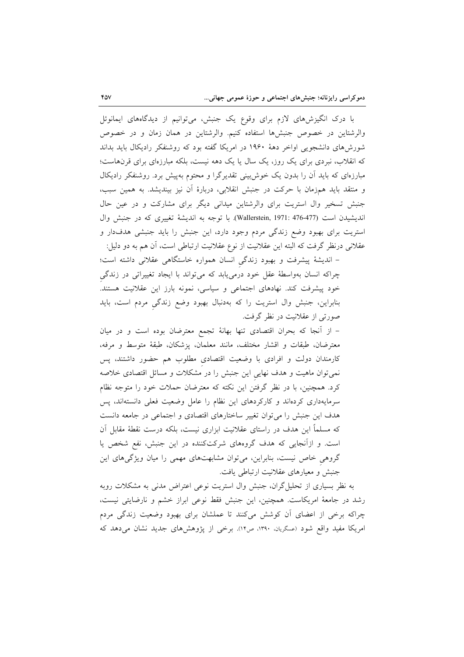با درک انگیزش،های لازم برای وقوع یک جنبش، میتوانیم از دیدگاههای ایمانوئل والرشتاین در خصوص جنبشها استفاده کنیم. والرشتاین در همان زمان و در خصوص شورشهای دانشجویی اواخر دههٔ ۱۹۶۰ در امریکا گفته بود که روشنفکر رادیکال باید بداند که انقلاب، نبردی برای یک روز، یک سال یا یک دهه نیست، بلکه مبارزهای برای قرنهاست؛ مبارزهای که باید آن را بدون یک خوش بینی تقدیرگرا و محتوم بهپیش برد. روشنفکر رادیکال و منتقد باید همزمان با حرکت در جنبش انقلابی، دربارهٔ اَن نیز بیندیشد. به همین سبب، جنبش تسخیر وال استریت برای والرشتاین میدانی دیگر برای مشارکت و در عین حال انديشيدن است (Wallerstein, 1971: 476-477). با توجه به انديشة تغييري كه در جنبش وال استریت برای بهبود وضع زندگی مردم وجود دارد، این جنبش را باید جنبشی هدفدار و عقلانی درنظر گرفت که البته این عقلانیت از نوع عقلانیت ارتباطی است، آن هم به دو دلیل:

– اندیشهٔ پیشرفت و بهبود زندگی انسان همواره خاستگاهی عقلانی داشته است؛ چراکه انسان بهواسطهٔ عقل خود درمییابد که میتواند با ایجاد تغییراتی در زندگی خود پیشرفت کند. نهادهای اجتماعی و سیاسی، نمونه بارز این عقلانیت هستند. بنابراین، جنبش وال استریت را که بهدنبال بهبود وضع زندگی مردم است، باید صورتی از عقلانیت در نظر گرفت.

– از أنجا كه بحران اقتصادى تنها بهانهٔ تجمع معترضان بوده است و در ميان معترضان، طبقات و اقشار مختلف، مانند معلمان، پزشکان، طبقهٔ متوسط و مرفه، کارمندان دولت و افرادی با وضعیت اقتصادی مطلوب هم حضور داشتند، پس نمی توان ماهیت و هدف نهایی این جنبش را در مشکلات و مسائل اقتصادی خلاصه کرد. همچنین، با در نظر گرفتن این نکته که معترضان حملات خود را متوجه نظام سرمایهداری کردهاند و کارکردهای این نظام را عامل وضعیت فعلی دانستهاند، پس هدف این جنبش را می توان تغییر ساختارهای اقتصادی و اجتماعی در جامعه دانست که مسلماً این هدف در راستای عقلانیت ابزاری نیست، بلکه درست نقطهٔ مقابل اَن است. و ازأنجایی که هدف گروههای شرکتکننده در این جنبش، نفع شخص یا گروهی خاص نیست، بنابراین، میتوان مشابهتهای مهمی را میان ویژگیهای این جنبش و معیارهای عقلانیت ارتباطی یافت.

به نظر بسیاری از تحلیل گران، جنبش وال استریت نوعی اعتراض مدنی به مشکلات روبه رشد در جامعهٔ امریکاست. همچنین، این جنبش فقط نوعی ابراز خشم و نارضایتی نیست، چراکه برخی از اعضای أن کوشش میکنند تا عملشان برای بهبود وضعیت زندگی مردم امریکا مفید واقع شود (عسگریان، ۱۳۹۰، ص۱۴). برخی از پژوهشهای جدید نشان می دهد که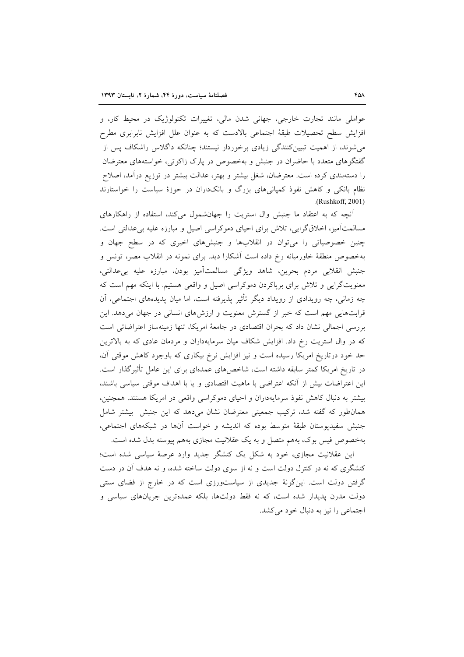عواملي مانند تجارت خارجي، جهاني شدن مالي، تغييرات تكنولوژيك در محيط كار، و افزایش سطح تحصیلات طبقهٔ اجتماعی بالادست که به عنوان علل افزایش نابرابری مطرح میشوند، از اهمیت تبیینکنندگی زیادی برخوردار نیستند؛ چنانکه داگلاس راشکاف پس از گفتگوهای متعدد با حاضران در جنبش و بهخصوص در پارک زاکوتی، خواستههای معترضان را دستهبندی کرده است. معترضان، شغل بیشتر و بهتر، عدالت بیشتر در توزیع درآمد، اصلاح نظام بانکی و کاهش نفوذ کمپانیهای بزرگ و بانکداران در حوزهٔ سیاست را خواستارند (Rushkoff, 2001).

آنچه که به اعتقاد ما جنبش وال استریت را جهان شمول میکند، استفاده از راهکارهای مسالمتآمیز، اخلاقگرایی، تلاش برای احیای دموکراسی اصیل و مبارزه علیه بی عدالتی است. چنین خصوصیاتی را می توان در انقلابها و جنبشهای اخیری که در سطح جهان و بهخصوص منطقهٔ خاورمیانه رخ داده است آشکارا دید. برای نمونه در انقلاب مصر، تونس و جنبش انقلابی مردم بحرین، شاهد ویژگی مسالمتآمیز بودن، مبارزه علیه بی عدالتی، معنویتگرایی و تلاش برای برپاکردن دموکراسی اصیل و واقعی هستیم. با اینکه مهم است که چه زمانی، چه رویدادی از رویداد دیگر تأثیر پذیرفته است، اما میان پدیدههای اجتماعی، آن قرابتهایی مهم است که خبر از گسترش معنویت و ارزشهای انسانی در جهان میدهد. این بررسی اجمالی نشان داد که بحران اقتصادی در جامعهٔ امریکا، تنها زمینهساز اعتراضاتی است که در وال استریت رخ داد. افزایش شکاف میان سرمایهداران و مردمان عادی که به بالاترین حد خود درتاریخ امریکا رسیده است و نیز افزایش نرخ بیکاری که باوجود کاهش موقتی آن، در تاریخ امریکا کمتر سابقه داشته است، شاخص۵های عمدهای برای این عامل تأثیرگذار است. این اعتراضات بیش از آنکه اعتراضی با ماهیت اقتصادی و یا با اهداف موقتی سیاسی باشند، بیشتر به دنبال کاهش نفوذ سرمایهداران و احیای دموکراسی واقعی در امریکا هستند. همچنین، همانطور که گفته شد، ترکیب جمعیتی معترضان نشان میدهد که این جنبش بیشتر شامل جنبش سفیدیوستان طبقهٔ متوسط بوده که اندیشه و خواست آنها در شبکههای اجتماعی، بهخصوص فیس بوک، بههم متصل و به یک عقلانیت مجازی بههم پیوسته بدل شده است.

این عقلانیت مجازی، خود به شکل یک کنشگر جدید وارد عرصهٔ سیاسی شده است؛ کنشگری که نه در کنترل دولت است و نه از سوی دولت ساخته شده، و نه هدف آن در دست گرفتن دولت است. اینگونهٔ جدیدی از سیاستورزی است که در خارج از فضای سنتی دولت مدرن پدیدار شده است، که نه فقط دولتها، بلکه عمدهترین جریانهای سیاسی و اجتماعی را نیز به دنبال خود می کشد.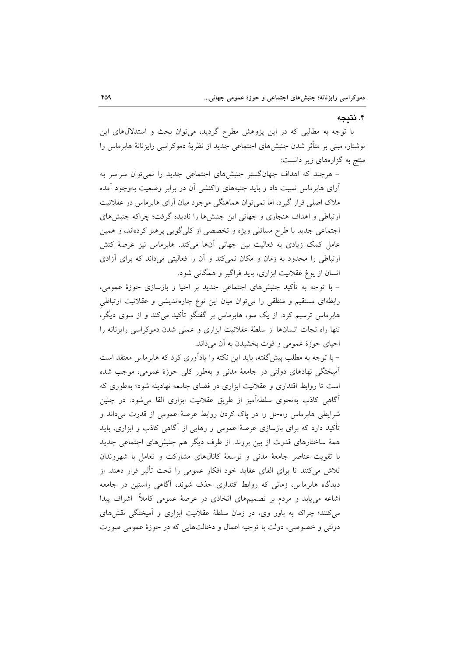## ۴. نتيجه

با توجه به مطالبی که در این پژوهش مطرح گردید، می توان بحث و استدلالهای این نوشتار، مبنی بر متأثر شدن جنبش،های اجتماعی جدید از نظریهٔ دموکراسی رایزنانهٔ هابرماس را منتج به گزارههای زیر دانست:

– هرچند که اهداف جهانگستر جنبشهای اجتماعی جدید را نمی توان سراسر به آرای هابرماس نسبت داد و باید جنبههای واکنشی آن در برابر وضعیت بهوجود آمده ملاک اصلی قرار گیرد، اما نمی توان هماهنگی موجود میان آرای هابرماس در عقلانیت ارتباطی و اهداف هنجاری و جهانی این جنبشها را نادیده گرفت؛ چراکه جنبشهای اجتماعی جدید با طرح مسائلی ویژه و تخصصی از کلیگویی پرهیز کردهاند، و همین عامل کمک زیادی به فعالیت بین جهانی آنها میکند. هابرماس نیز عرصهٔ کنش ارتباطی را محدود به زمان و مکان نمی کند و آن را فعالیتی میداند که برای آزادی انسان از یوغ عقلانیت ابزاری، باید فراگیر و همگانی شود.

– با توجه به تأكيد جنبشهاي اجتماعي جديد بر احيا و بازسازي حوزهٔ عمومي، رابطهای مستقیم و منطقی را میتوان میان این نوع چارهاندیشی و عقلانیت ارتباطی هابرماس ترسیم کرد. از یک سو، هابرماس بر گفتگو تأکید میکند و از سوی دیگر، تنها راه نجات انسانها از سلطهٔ عقلانیت ابزاری و عملی شدن دموکراسی رایزنانه را احیای حوزهٔ عمومی و قوت بخشیدن به آن میداند.

– با توجه به مطلب پیش گفته، باید این نکته را یادآوری کرد که هابرماس معتقد است اّمیختگی نهادهای دولتی در جامعهٔ مدنی و بهطور کلی حوزهٔ عمومی، موجب شده است تا روابط اقتداری و عقلانیت ابزاری در فضای جامعه نهادینه شود؛ بهطوری که آگاهی کاذب بهنحوی سلطهآمیز از طریق عقلانیت ابزاری القا می شود. در چنین شرایطی هابرماس راهحل را در پاک کردن روابط عرصهٔ عمومی از قدرت میداند و تأکید دارد که برای بازسازی عرصهٔ عمومی و رهایی از آگاهی کاذب و ابزاری، باید همهٔ ساختارهای قدرت از بین بروند. از طرف دیگر هم جنبشهای اجتماعی جدید با تقویت عناصر جامعهٔ مدنی و توسعهٔ کانالهای مشارکت و تعامل با شهروندان تلاش میکنند تا برای القای عقاید خود افکار عمومی را تحت تأثیر قرار دهند. از دیدگاه هابرماس، زمانی که روابط اقتداری حذف شوند، آگاهی راستین در جامعه اشاعه می یابد و مردم بر تصمیمهای اتخاذی در عرصهٔ عمومی کاملاً ِ اشراف پیدا می کنند؛ چراکه به باور وی، در زمان سلطهٔ عقلانیت ابزاری و اَمیختگی نقشهای دولتي و خصوصي، دولت با توجيه اعمال و دخالتهايي كه در حوزهٔ عمومي صورت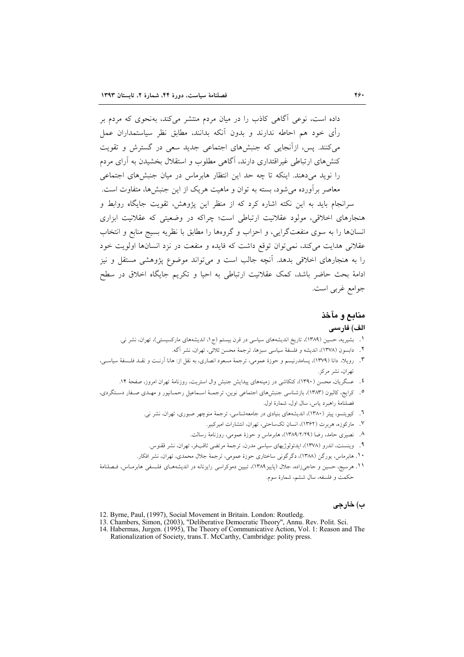داده است، نوعی آگاهی کاذب را در میان مردم منتشر میکند، بهنحوی که مردم بر رأى خود هم احاطه ندارند و بدون آنكه بدانند، مطابق نظر سياستمداران عمل میکنند. پس، ازآنجایی که جنبشهای اجتماعی جدید سعی در گسترش و تقویت کنش های ارتباطی غیراقتداری دارند، آگاهی مطلوب و استقلال بخشیدن به آرای مردم را نوید میدهند. اینکه تا چه حد این انتظار هابرماس در میان جنبشهای اجتماعی معاصر برآورده می شود، بسته به توان و ماهیت هر یک از این جنبش ها، متفاوت است. سرانجام باید به این نکته اشاره کرد که از منظر این پژوهش، تقویت جایگاه روابط و هنجارهای اخلاقی، مولود عقلانیت ارتباطی است؛ چراکه در وضعیتی که عقلانیت ابزاری انسانها را به سوی منفعتگرایی، و احزاب و گروهها را مطابق با نظریه بسیج منابع و انتخاب عقلانی هدایت میکند، نمی توان توقع داشت که فایده و منفعت در نزد انسانها اولویت خود را به هنجارهای اخلاقی بدهد. آنچه جالب است و می تواند موضوع پژوهشی مستقل و نیز ادامهٔ بحث حاضر باشد، کمک عقلانیت ارتباطی به احیا و تکریم جایگاه اخلاق در سطح جوامع غربي است.

## منابع و مآخذ

#### الف) فارسى

- ١. بشیریه، حسین (١٣٨٩)، تاریخ اندیشههای سیاسی در قرن بیستم (ج١، اندیشههای مارکسیستی)، تهران، نشر نی.
	- ٢. دابسون (١٣٧٨)، انديشه و فلسفة سياسي سبزها، ترجمة محسن ثلاثي، تهران، نشر أكه.
- ۳. رویلا، دانا (۱۳۷۹)، پسامدرنیسم و حوزهٔ عمومی، ترجمهٔ مسعود انصاری، به نقل از: هانا آرنـت و نقــد فلــسفهٔ سیاســی، تهران، نشر مركز.
	- ٤. عسگریان، محسن (١٣٩٠)، کنکاشی در زمینههای پیدایش جنبش وال استریت، روزنامهٔ تهران امروز، صفحهٔ ١٢.
- ۰. کرایج، کالبون (۱۳۸۳)، بازشناسی جنبشهای اجتماعی نوین، ترجمـهٔ اسـماعیل رحمـانپور و مهـدی صـفار دسـتگردی، فصلنامهٔ راهبرد ياس، سال اول، شمارهٔ اول.
	- ۲. کیویتسو، پیتر (۱۳۸۰)، اندیشههای بنیادی در جامعهشناسی، ترجمهٔ منوچهر صبوری، تهران، نشر نی.
		- ٧. ماركوزه، هربرت (١٣۶٢)، انسان تكساحتي، تهران، انتشارات اميركبير.
		- ۸. نصیری حامد، رضا (۱۳۸۹/۲/۲۹)، هابرماس و حوزهٔ عمومی، روزنامهٔ رسالت.
	- ۹. وينسنت، اندرو (١٣٧٨)، ايدئولوژيهاي سياسي مدرن، ترجمهٔ مرتضي ثاقبفو، تهران، نشر ققنوس.
	- ۱۰. هابرماس، یورگن (۱۳۸۸)، دگرگونی ساختاری حوزهٔ عمومی، ترجمهٔ جلال محمدی، تهران، نشر افکار.
- <sup>11</sup>. هرسیج، حسین و حاجیزاده، جلال (پاییز<sup>۱۳۸۹</sup>)، تبیین دموکراسی رایزنانه در اندیشههـای فلـسفی هابرمـاس، فـصلنامهٔ حکمت و فلسفه، سال ششم، شمارهٔ سوم.

#### ب) خارجي

- 12. Byrne, Paul, (1997), Social Movement in Britain. London: Routledg.
- 
- 12. Bylie, Faul, (1997), Social Movement in Britain: London: Routicus.<br>13. Chambers, Simon, (2003), "Deliberative Democratic Theory", Annu. Rev. Polit. Sci.<br>14. Habermas, Jurgen. (1995), The Theory of Communicative Action, Rationalization of Society, trans. T. McCarthy, Cambridge: polity press.